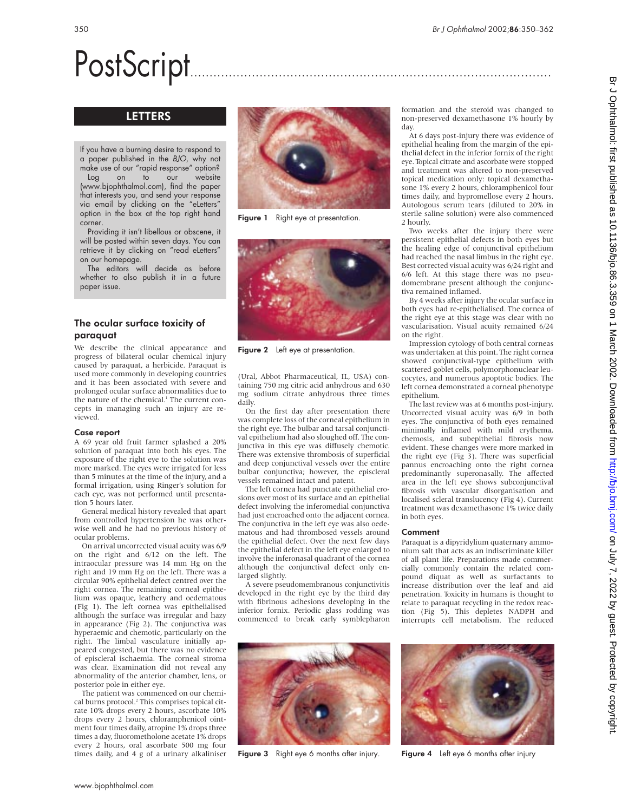# PostScript..............................................................................................

# LETTERS

If you have a burning desire to respond to a paper published in the BJO, why not make use of our "rapid response" option? Log on to our website (www.bjophthalmol.com), find the paper that interests you, and send your response via email by clicking on the "eLetters" option in the box at the top right hand corner.

Providing it isn't libellous or obscene, it will be posted within seven days. You can retrieve it by clicking on "read eLetters" on our homepage.

The editors will decide as before whether to also publish it in a future paper issue.

# The ocular surface toxicity of paraquat

We describe the clinical appearance and progress of bilateral ocular chemical injury caused by paraquat, a herbicide. Paraquat is used more commonly in developing countries and it has been associated with severe and prolonged ocular surface abnormalities due to the nature of the chemical.<sup>1</sup> The current concepts in managing such an injury are reviewed.

## Case report

A 69 year old fruit farmer splashed a 20% solution of paraquat into both his eyes. The exposure of the right eye to the solution was more marked. The eyes were irrigated for less than 5 minutes at the time of the injury, and a formal irrigation, using Ringer's solution for each eye, was not performed until presentation 5 hours later.

General medical history revealed that apart from controlled hypertension he was otherwise well and he had no previous history of ocular problems.

On arrival uncorrected visual acuity was 6/9 on the right and 6/12 on the left. The intraocular pressure was 14 mm Hg on the right and 19 mm Hg on the left. There was a circular 90% epithelial defect centred over the right cornea. The remaining corneal epithelium was opaque, leathery and oedematous (Fig 1). The left cornea was epithelialised although the surface was irregular and hazy in appearance (Fig 2). The conjunctiva was hyperaemic and chemotic, particularly on the right. The limbal vasculature initially appeared congested, but there was no evidence of episcleral ischaemia. The corneal stroma was clear. Examination did not reveal any abnormality of the anterior chamber, lens, or posterior pole in either eye.

The patient was commenced on our chemical burns protocol.<sup>2</sup> This comprises topical citrate 10% drops every 2 hours, ascorbate 10% drops every 2 hours, chloramphenicol ointment four times daily, atropine 1% drops three times a day, fluorometholone acetate 1% drops every 2 hours, oral ascorbate 500 mg four times daily, and 4 g of a urinary alkaliniser



Figure 1 Right eye at presentation.



Figure 2 Left eye at presentation.

(Ural, Abbot Pharmaceutical, IL, USA) containing 750 mg citric acid anhydrous and 630 mg sodium citrate anhydrous three times daily.

On the first day after presentation there was complete loss of the corneal epithelium in the right eye. The bulbar and tarsal conjunctival epithelium had also sloughed off. The conjunctiva in this eye was diffusely chemotic. There was extensive thrombosis of superficial and deep conjunctival vessels over the entire bulbar conjunctiva; however, the episcleral vessels remained intact and patent.

The left cornea had punctate epithelial erosions over most of its surface and an epithelial defect involving the inferomedial conjunctiva had just encroached onto the adjacent cornea. The conjunctiva in the left eye was also oedematous and had thrombosed vessels around the epithelial defect. Over the next few days the epithelial defect in the left eye enlarged to involve the inferonasal quadrant of the cornea although the conjunctival defect only enlarged slightly.

A severe pseudomembranous conjunctivitis developed in the right eye by the third day with fibrinous adhesions developing in the inferior fornix. Periodic glass rodding was commenced to break early symblepharon formation and the steroid was changed to non-preserved dexamethasone 1% hourly by day.

At 6 days post-injury there was evidence of epithelial healing from the margin of the epithelial defect in the inferior fornix of the right eye. Topical citrate and ascorbate were stopped and treatment was altered to non-preserved topical medication only: topical dexamethasone 1% every 2 hours, chloramphenicol four times daily, and hypromellose every 2 hours. Autologous serum tears (diluted to 20% in sterile saline solution) were also commenced 2 hourly.

Two weeks after the injury there were persistent epithelial defects in both eyes but the healing edge of conjunctival epithelium had reached the nasal limbus in the right eye. Best corrected visual acuity was 6/24 right and 6/6 left. At this stage there was no pseudomembrane present although the conjunctiva remained inflamed.

By 4 weeks after injury the ocular surface in both eyes had re-epithelialised. The cornea of the right eye at this stage was clear with no vascularisation. Visual acuity remained 6/24 on the right.

Impression cytology of both central corneas was undertaken at this point. The right cornea showed conjunctival-type epithelium with scattered goblet cells, polymorphonuclear leucocytes, and numerous apoptotic bodies. The left cornea demonstrated a corneal phenotype epithelium.

The last review was at 6 months post-injury. Uncorrected visual acuity was 6/9 in both eyes. The conjunctiva of both eyes remained minimally inflamed with mild erythema, chemosis, and subepithelial fibrosis now evident. These changes were more marked in the right eye (Fig 3). There was superficial pannus encroaching onto the right cornea predominantly superonasally. The affected area in the left eye shows subconjunctival fibrosis with vascular disorganisation and localised scleral translucency (Fig 4). Current treatment was dexamethasone 1% twice daily in both eyes.

## Comment

Paraquat is a dipyridylium quaternary ammonium salt that acts as an indiscriminate killer of all plant life. Preparations made commercially commonly contain the related compound diquat as well as surfactants to increase distribution over the leaf and aid penetration. Toxicity in humans is thought to relate to paraquat recycling in the redox reaction (Fig 5). This depletes NADPH and interrupts cell metabolism. The reduced



Figure 3 Right eye 6 months after injury. Figure 4 Left eye 6 months after injury

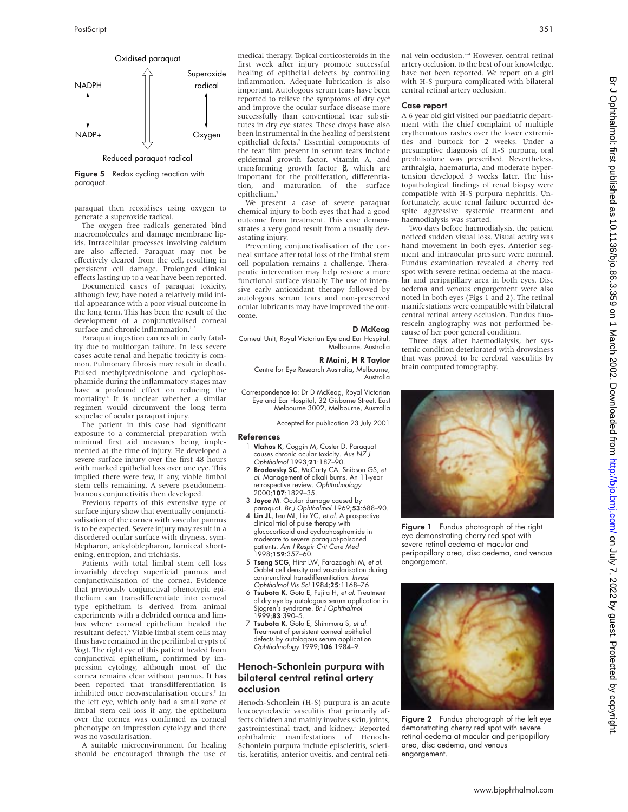

Figure 5 Redox cycling reaction with paraquat.

paraquat then reoxidises using oxygen to generate a superoxide radical.

The oxygen free radicals generated bind macromolecules and damage membrane lipids. Intracellular processes involving calcium are also affected. Paraquat may not be effectively cleared from the cell, resulting in persistent cell damage. Prolonged clinical effects lasting up to a year have been reported.

Documented cases of paraquat toxicity, although few, have noted a relatively mild initial appearance with a poor visual outcome in the long term. This has been the result of the development of a conjunctivalised corneal surface and chronic inflammation.<sup>1</sup>

Paraquat ingestion can result in early fatality due to multiorgan failure. In less severe cases acute renal and hepatic toxicity is common. Pulmonary fibrosis may result in death. Pulsed methylprednisolone and cyclophosphamide during the inflammatory stages may have a profound effect on reducing the mortality.4 It is unclear whether a similar regimen would circumvent the long term sequelae of ocular paraquat injury.

The patient in this case had significant exposure to a commercial preparation with minimal first aid measures being implemented at the time of injury. He developed a severe surface injury over the first 48 hours with marked epithelial loss over one eye. This implied there were few, if any, viable limbal stem cells remaining. A severe pseudomembranous conjunctivitis then developed.

Previous reports of this extensive type of surface injury show that eventually conjunctivalisation of the cornea with vascular pannus is to be expected. Severe injury may result in a disordered ocular surface with dryness, symblepharon, ankyloblepharon, forniceal shortening, entropion, and trichiasis.

Patients with total limbal stem cell loss invariably develop superficial pannus and conjunctivalisation of the cornea. Evidence that previously conjunctival phenotypic epithelium can transdifferentiate into corneal type epithelium is derived from animal experiments with a debrided cornea and limbus where corneal epithelium healed the resultant defect.<sup>5</sup> Viable limbal stem cells may thus have remained in the perilimbal crypts of Vogt. The right eye of this patient healed from conjunctival epithelium, confirmed by impression cytology, although most of the cornea remains clear without pannus. It has been reported that transdifferentiation is inhibited once neovascularisation occurs.<sup>5</sup> In the left eye, which only had a small zone of limbal stem cell loss if any, the epithelium over the cornea was confirmed as corneal phenotype on impression cytology and there was no vascularisation.

A suitable microenvironment for healing should be encouraged through the use of medical therapy. Topical corticosteroids in the first week after injury promote successful healing of epithelial defects by controlling inflammation. Adequate lubrication is also important. Autologous serum tears have been reported to relieve the symptoms of dry eye<sup>6</sup> and improve the ocular surface disease more successfully than conventional tear substitutes in dry eye states. These drops have also been instrumental in the healing of persistent epithelial defects.7 Essential components of the tear film present in serum tears include epidermal growth factor, vitamin A, and transforming growth factor β, which are important for the proliferation, differentiation, and maturation of the surface epithelium.7

We present a case of severe paraquat chemical injury to both eyes that had a good outcome from treatment. This case demonstrates a very good result from a usually devastating injury.

Preventing conjunctivalisation of the corneal surface after total loss of the limbal stem cell population remains a challenge. Therapeutic intervention may help restore a more functional surface visually. The use of intensive early antioxidant therapy followed by autologous serum tears and non-preserved ocular lubricants may have improved the outcome.

#### D McKeag

Corneal Unit, Royal Victorian Eye and Ear Hospital, Melbourne, Australia

## R Maini, H R Taylor

Centre for Eye Research Australia, Melbourne, Australia

Correspondence to: Dr D McKeag, Royal Victorian Eye and Ear Hospital, 32 Gisborne Street, East Melbourne 3002, Melbourne, Australia

Accepted for publication 23 July 2001

#### References

- 1 Vlahos K, Coggin M, Coster D. Paraquat causes chronic ocular toxicity. Aus NZ J Ophthalmol 1993;21:187-90.
- 2 **Brodovsky SC**, McCarty CA, Snibson GS, *et al.* Management of alkali burns. An 11-year retrospective review. Ophthalmology 2000;107:1829–35.
- 3 Joyce M. Ocular damage caused by paraquat. Br J Ophthalmol 1969;53:688-90.
- 4 Lin JL, Leu ML, Liu YC, et al. A prospective clinical trial of pulse therapy with glucocorticoid and cyclophosphamide in moderate to severe paraquat-poisoned patients. Am J Respir Crit Care Med  $1998;159:357-60.$
- 5 Tseng SCG, Hirst LW, Farazdaghi M, et al. Goblet cell density and vascularisation during<br>conjnunctival transdifferentiation. *Invest* Ophthalmol Vis Sci 1984;25:1168–76.
- Tsubota K, Goto E, Fujita H, et al. Treatment of dry eye by autologous serum application in Sjogren's syndrome. *Br J Ophthalmol*<br>1999;**83**:390–5.
- 7 Tsubota K, Goto E, Shimmura S, et al. Treatment of persistent corneal epithelial defects by autologous serum application. Ophthalmology 1999;106:1984–9.

# Henoch-Schonlein purpura with bilateral central retinal artery occlusion

Henoch-Schonlein (H-S) purpura is an acute leucocytoclastic vasculitis that primarily affects children and mainly involves skin, joints, gastrointestinal tract, and kidney.<sup>1</sup> Reported ophthalmic manifestations of Henoch-Schonlein purpura include episcleritis, scleritis, keratitis, anterior uveitis, and central retinal vein occlusion.2–4 However, central retinal artery occlusion, to the best of our knowledge, have not been reported. We report on a girl with H-S purpura complicated with bilateral central retinal artery occlusion.

#### Case report

A 6 year old girl visited our paediatric department with the chief complaint of multiple erythematous rashes over the lower extremities and buttock for 2 weeks. Under a presumptive diagnosis of H-S purpura, oral prednisolone was prescribed. Nevertheless, arthralgia, haematuria, and moderate hypertension developed 3 weeks later. The histopathological findings of renal biopsy were compatible with H-S purpura nephritis. Unfortunately, acute renal failure occurred despite aggressive systemic treatment and haemodialysis was started.

Two days before haemodialysis, the patient noticed sudden visual loss. Visual acuity was hand movement in both eyes. Anterior segment and intraocular pressure were normal. Fundus examination revealed a cherry red spot with severe retinal oedema at the macular and peripapillary area in both eyes. Disc oedema and venous engorgement were also noted in both eyes (Figs 1 and 2). The retinal manifestations were compatible with bilateral central retinal artery occlusion. Fundus fluorescein angiography was not performed because of her poor general condition.

Three days after haemodialysis, her systemic condition deteriorated with drowsiness that was proved to be cerebral vasculitis by brain computed tomography.



**Figure 1** Fundus photograph of the right eye demonstrating cherry red spot with severe retinal oedema at macular and peripapillary area, disc oedema, and venous engorgement.



Figure 2 Fundus photograph of the left eye demonstrating cherry red spot with severe retinal oedema at macular and peripapillary area, disc oedema, and venous engorgement.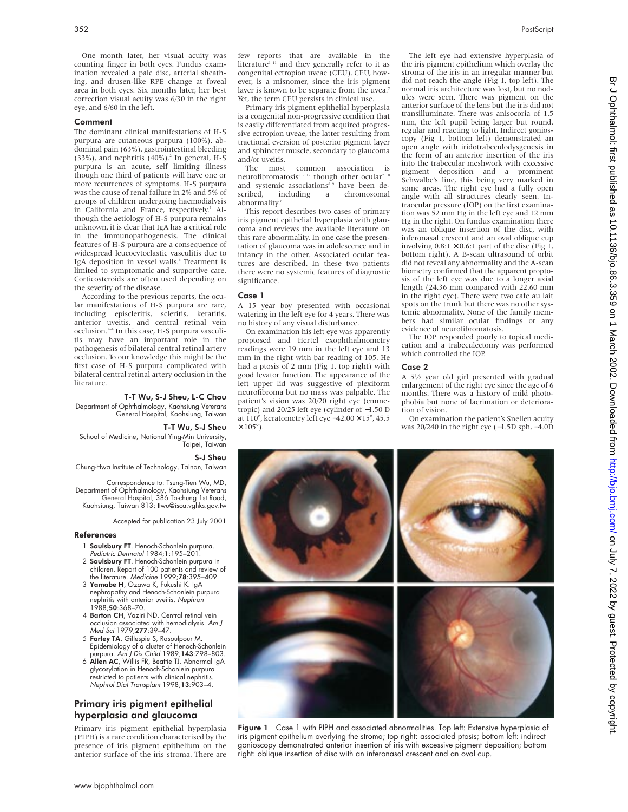One month later, her visual acuity was counting finger in both eyes. Fundus examination revealed a pale disc, arterial sheathing, and drusen-like RPE change at foveal area in both eyes. Six months later, her best correction visual acuity was 6/30 in the right eye, and 6/60 in the left.

## Comment

The dominant clinical manifestations of H-S purpura are cutaneous purpura (100%), abdominal pain (63%), gastrointestinal bleeding (33%), and nephritis  $(40\%)$ .<sup>2</sup> In general, H-S purpura is an acute, self limiting illness though one third of patients will have one or more recurrences of symptoms. H-S purpura was the cause of renal failure in 2% and 5% of groups of children undergoing haemodialysis in California and France, respectively.<sup>5</sup> Although the aetiology of H-S purpura remains unknown, it is clear that IgA has a critical role in the immunopathogenesis. The clinical features of H-S purpura are a consequence of widespread leucocytoclastic vasculitis due to IgA deposition in vessel walls.<sup>6</sup> Treatment is limited to symptomatic and supportive care. Corticosteroids are often used depending on the severity of the disease.

According to the previous reports, the ocular manifestations of H-S purpura are rare, including episcleritis, scleritis, keratitis, anterior uveitis, and central retinal vein occlusion.2–4 In this case, H-S purpura vasculitis may have an important role in the pathogenesis of bilateral central retinal artery occlusion. To our knowledge this might be the first case of H-S purpura complicated with bilateral central retinal artery occlusion in the literature.

## T-T Wu, S-J Sheu, L-C Chou

Department of Ophthalmology, Kaohsiung Veterans General Hospital, Kaohsiung, Taiwan

T-T Wu, S-J Sheu

School of Medicine, National Ying-Min University, Taipei, Taiwan

## S-J Sheu

Chung-Hwa Institute of Technology, Tainan, Taiwan

Correspondence to: Tsung-Tien Wu, MD, Department of Ophthalmology, Kaohsiung Veterans General Hospital, 386 Ta-chung 1st Road, Kaohsiung, Taiwan 813; ttwu@isca.vghks.gov.tw

Accepted for publication 23 July 2001

#### References

- 1 Saulsbury FT. Henoch-Schonlein purpura. Pediatric Dermatol 1984;1:195–201.
- 2 Saulsbury FT. Henoch-Schonlein purpura in children. Report of 100 patients and review of<br>the literature. *Medicine* 1999;**78**:395–409.
- 3 Yamabe H, Ozawa K, Fukushi K. IgA nephropathy and Henoch-Schonlein purpura nephritis with anterior uveitis. Nephron 1988;50:368–70.
- 4 Barton CH, Vaziri ND. Central retinal vein occlusion associated with hemodialysis. Am J Med Sci 1979;277:39–47.
- 5 Farley TA, Gillespie S, Rasoulpour M. Epidemiology of a cluster of Henoch-Schonlein purpura. Am J Dis Child 1989;143:798–803.
- 6 Allen AC, Willis FR, Beattie TJ. Abnormal IgA glycosylation in Henoch-Schonlein purpura restricted to patients with clinical nephritis. Nephrol Dial Transplant 1998;13:903–4.

# Primary iris pigment epithelial hyperplasia and glaucoma

Primary iris pigment epithelial hyperplasia (PIPH) is a rare condition characterised by the presence of iris pigment epithelium on the anterior surface of the iris stroma. There are

few reports that are available in the literature $1-11$  and they generally refer to it as congenital ectropion uveae (CEU). CEU, however, is a misnomer, since the iris pigment layer is known to be separate from the uvea. Yet, the term CEU persists in clinical use.

Primary iris pigment epithelial hyperplasia is a congenital non-progressive condition that is easily differentiated from acquired progressive ectropion uveae, the latter resulting from tractional eversion of posterior pigment layer and sphincter muscle, secondary to glaucoma and/or uveitis.<br>The most

common association is neurofibromatosis $8912$  though other ocular<sup>7</sup><sup>10</sup> and systemic associations<sup>8</sup> have been de-<br>scribed, including a chromosomal a chromosomal abnormality.<sup>6</sup>

This report describes two cases of primary iris pigment epithelial hyperplasia with glaucoma and reviews the available literature on this rare abnormality. In one case the presentation of glaucoma was in adolescence and in infancy in the other. Associated ocular features are described. In these two patients there were no systemic features of diagnostic significance.

## Case 1

A 15 year boy presented with occasional watering in the left eye for 4 years. There was no history of any visual disturbance.

On examination his left eye was apparently proptosed and Hertel exophthalmometry readings were 19 mm in the left eye and 13 mm in the right with bar reading of 105. He had a ptosis of 2 mm (Fig 1, top right) with good levator function. The appearance of the left upper lid was suggestive of plexiform neurofibroma but no mass was palpable. The patient's vision was 20/20 right eye (emmetropic) and 20/25 left eye (cylinder of −1.50 D at 110°, keratometry left eye −42.00 × 15°, 45.5  $\times$  105 $^{\circ}$ ).

The left eye had extensive hyperplasia of the iris pigment epithelium which overlay the stroma of the iris in an irregular manner but did not reach the angle (Fig 1, top left). The normal iris architecture was lost, but no nodules were seen. There was pigment on the anterior surface of the lens but the iris did not transilluminate. There was anisocoria of 1.5 mm, the left pupil being larger but round, regular and reacting to light. Indirect gonioscopy (Fig 1, bottom left) demonstrated an open angle with iridotrabeculodysgenesis in the form of an anterior insertion of the iris into the trabecular meshwork with excessive pigment deposition and a prominent Schwalbe's line, this being very marked in some areas. The right eye had a fully open angle with all structures clearly seen. Intraocular pressure (IOP) on the first examination was 52 mm Hg in the left eye and 12 mm Hg in the right. On fundus examination there was an oblique insertion of the disc, with inferonasal crescent and an oval oblique cup involving  $0.8:1 \times 0.6:1$  part of the disc (Fig 1, bottom right). A B-scan ultrasound of orbit did not reveal any abnormality and the A-scan biometry confirmed that the apparent proptosis of the left eye was due to a longer axial length (24.36 mm compared with 22.60 mm



in the right eye). There were two cafe au lait spots on the trunk but there was no other systemic abnormality. None of the family members had similar ocular findings or any evidence of neurofibromatosis. The IOP responded poorly to topical medication and a trabeculectomy was performed which controlled the IOP. Case 2 A 51⁄2 year old girl presented with gradual enlargement of the right eye since the age of 6 months. There was a history of mild photophobia but none of lacrimation or deterioration of vision. On examination the patient's Snellen acuity was 20/240 in the right eye (-1.5D sph, -4.0D

www.bjophthalmol.com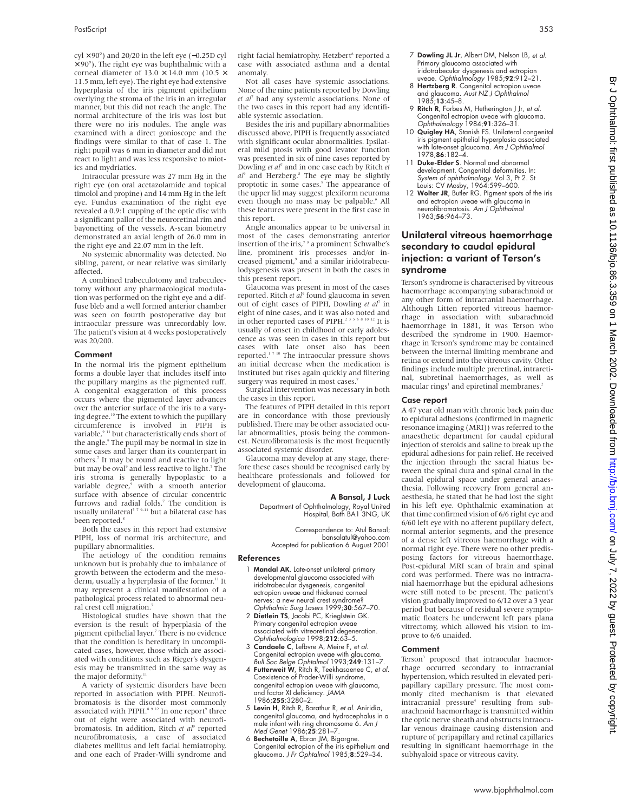cyl × 90°) and 20/20 in the left eye (−0.25D cyl  $\times$  90 $^{\circ}$ ). The right eye was buphthalmic with a corneal diameter of  $13.0 \times 14.0$  mm (10.5  $\times$ 11.5 mm, left eye). The right eye had extensive hyperplasia of the iris pigment epithelium overlying the stroma of the iris in an irregular manner, but this did not reach the angle. The normal architecture of the iris was lost but there were no iris nodules. The angle was examined with a direct gonioscope and the findings were similar to that of case 1. The right pupil was 6 mm in diameter and did not react to light and was less responsive to miotics and mydriatics.

Intraocular pressure was 27 mm Hg in the right eye (on oral acetazolamide and topical timolol and propine) and 14 mm Hg in the left eye. Fundus examination of the right eye revealed a 0.9:1 cupping of the optic disc with a significant pallor of the neuroretinal rim and bayonetting of the vessels. A-scan biometry demonstrated an axial length of 26.0 mm in the right eye and 22.07 mm in the left.

No systemic abnormality was detected. No sibling, parent, or near relative was similarly affected.

A combined trabeculotomy and trabeculectomy without any pharmacological modulation was performed on the right eye and a diffuse bleb and a well formed anterior chamber was seen on fourth postoperative day but intraocular pressure was unrecordably low. The patient's vision at 4 weeks postoperatively was 20/200.

## Comment

In the normal iris the pigment epithelium forms a double layer that includes itself into the pupillary margins as the pigmented ruff. A congenital exaggeration of this process occurs where the pigmented layer advances over the anterior surface of the iris to a varying degree.10 The extent to which the pupillary circumference is involved in PIPH is variable,9 11 but characteristically ends short of the angle.9 The pupil may be normal in size in some cases and larger than its counterpart in others.7 It may be round and reactive to light but may be oval<sup>9</sup> and less reactive to light.<sup>7</sup> The iris stroma is generally hypoplastic to a variable degree,<sup>9</sup> with a smooth anterior surface with absence of circular concentric furrows and radial folds.<sup>7</sup> The condition is usually unilateral<sup>579-11</sup> but a bilateral case has been reported.<sup>8</sup>

Both the cases in this report had extensive PIPH, loss of normal iris architecture, and pupillary abnormalities.

The aetiology of the condition remains unknown but is probably due to imbalance of growth between the ectoderm and the mesoderm, usually a hyperplasia of the former.<sup>11</sup> It may represent a clinical manifestation of a pathological process related to abnormal neural crest cell migration.<sup>7</sup>

Histological studies have shown that the eversion is the result of hyperplasia of the pigment epithelial layer.<sup>7</sup> There is no evidence that the condition is hereditary in uncomplicated cases, however, those which are associated with conditions such as Rieger's dysgenesis may be transmitted in the same way as the major deformity.<sup>1</sup>

A variety of systemic disorders have been reported in association with PIPH. Neurofibromatosis is the disorder most commonly associated with PIPH.<sup>8 9 12</sup> In one report<sup>9</sup> three out of eight were associated with neurofibromatosis. In addition, Ritch *et al*<sup>9</sup> reported neurofibromatosis, a case of associated diabetes mellitus and left facial hemiatrophy, and one each of Prader-Willi syndrome and right facial hemiatrophy. Hetzbert<sup>8</sup> reported a case with associated asthma and a dental anomaly.

Not all cases have systemic associations. None of the nine patients reported by Dowling *et al*<sup>7</sup> had any systemic associations. None of the two cases in this report had any identifiable systemic association.

Besides the iris and pupillary abnormalities discussed above, PIPH is frequently associated with significant ocular abnormalities. Ipsilateral mild ptosis with good levator function was presented in six of nine cases reported by Dowling *et al*<sup>7</sup> and in one case each by Ritch *et al*<sup>9</sup> and Herzberg.8 The eye may be slightly proptotic in some cases.<sup>9</sup> The appearance of the upper lid may suggest plexiform neuroma even though no mass may be palpable.<sup>9</sup> All these features were present in the first case in this report.

Angle anomalies appear to be universal in most of the cases demonstrating anterior insertion of the iris,7 9 a prominent Schwalbe's line, prominent iris processes and/or increased pigment,<sup>9</sup> and a similar iridotrabeculodysgenesis was present in both the cases in this present report.

Glaucoma was present in most of the cases reported. Ritch *et al*<sup>9</sup> found glaucoma in seven out of eight cases of PIPH, Dowling *et al*<sup>7</sup> in eight of nine cases, and it was also noted and in other reported cases of PIPH.2 3 5 6 8 10 12 It is usually of onset in childhood or early adolescence as was seen in cases in this report but cases with late onset also has been reported.<sup>17 10</sup> The intraocular pressure shows an initial decrease when the medication is instituted but rises again quickly and filtering surgery was required in most cases.

Surgical intervention was necessary in both the cases in this report.

The features of PIPH detailed in this report are in concordance with those previously published. There may be other associated ocular abnormalities, ptosis being the commonest. Neurofibromatosis is the most frequently associated systemic disorder.

Glaucoma may develop at any stage, therefore these cases should be recognised early by healthcare professionals and followed for development of glaucoma.

#### A Bansal, J Luck

Department of Ophthalmology, Royal United Hospital, Bath BA1 3NG, UK

Correspondence to: Atul Bansal; bansalatul@yahoo.com Accepted for publication 6 August 2001

#### References

- 1 **Mandal AK**. Late-onset unilateral primary developmental glaucoma associated with iridotrabecular dysgenesis, congenital ectropion uveae and thickened corneal nerves: a new neural crest syndrome? Ophthalmic Surg Lasers 1999;**30**:567–70.
- 2 Dietlein TS, Jacobi PC, Krieglstein GK. Primary congenital ectropion uveae associated with vitreoretinal degeneration. Ophthalmologica 1998;**212**:63-5.
- 3 Candaele C, Lefbvre A, Meire F, et al. Congenital ectropion uveae with glaucoma. Bull Soc Belge Ophtalmol 1993;249:131–7. 4 Futterweit W, Ritch R, Teekhasaenee C, et al.
- Coexistence of Prader-Willi syndrome, congenital ectropion uveae with glaucoma, and factor XI deficiency. JAMA 1986;255:3280–2.
- 5 Levin H, Ritch R, Barathur R, et al. Aniridia, congenital glaucoma, and hydrocephalus in a male infant with ring chromosome 6. Am J Med Genet 1986;25:281-7
- 6 Bechetoille A, Ebran JM, Bigorgne. Congenital ectropion of the iris epithelium and glaucoma. J Fr Ophtalmol 1985;8:529-34.
- 7 Dowling JL Jr, Albert DM, Nelson LB, et al. Primary glaucoma associated with iridotrabecular dysgenesis and ectropion
- uveae. Ophthalmology 1985;92:912–21. 8 Hertzberg R. Congenital ectropion uveae and glaucoma. *Aust NZ J Ophthalmol*<br>1985;**13**:45–8.
- 9 Ritch R, Forbes M, Hetherington J Jr, et al. Congenital ectropion uveae with glaucoma. Ophthalmology 1984;91:326–31.
- 10 Quigley HA, Stanish FS. Unilateral congenital iris pigment epithelial hyperplasia associated with late-onset glaucoma. Am J Ophthalmol 1978;86:182–4.
- 11 Duke-Elder S. Normal and abnormal development. Congenital deformities. In: System of ophthalmology. Vol 3, Pt 2. St Louis: CV Mosby, 1964:599–600.
- 12 Wolter JR, Butler RG. Pigment spots of the iris and ectropion uveae with glaucoma in neurofibromatosis. Am J Ophthalmol 1963;56:964–73.

# Unilateral vitreous haemorrhage secondary to caudal epidural injection: a variant of Terson's syndrome

Terson's syndrome is characterised by vitreous haemorrhage accompanying subarachnoid or any other form of intracranial haemorrhage. Although Litten reported vitreous haemorrhage in association with subarachnoid haemorrhage in 1881, it was Terson who described the syndrome in 1900. Haemorrhage in Terson's syndrome may be contained between the internal limiting membrane and retina or extend into the vitreous cavity. Other findings include multiple preretinal, intraretinal, subretinal haemorrhages, as well as macular rings<sup>1</sup> and epiretinal membranes.<sup>2</sup>

#### Case report

A 47 year old man with chronic back pain due to epidural adhesions (confirmed in magnetic resonance imaging (MRI)) was referred to the anaesthetic department for caudal epidural injection of steroids and saline to break up the epidural adhesions for pain relief. He received the injection through the sacral hiatus between the spinal dura and spinal canal in the caudal epidural space under general anaesthesia. Following recovery from general anaesthesia, he stated that he had lost the sight in his left eye. Ophthalmic examination at that time confirmed vision of 6/6 right eye and 6/60 left eye with no afferent pupillary defect, normal anterior segments, and the presence of a dense left vitreous haemorrhage with a normal right eye. There were no other predisposing factors for vitreous haemorrhage. Post-epidural MRI scan of brain and spinal cord was performed. There was no intracranial haemorrhage but the epidural adhesions were still noted to be present. The patient's vision gradually improved to 6/12 over a 3 year period but because of residual severe symptomatic floaters he underwent left pars plana vitrectomy, which allowed his vision to improve to 6/6 unaided.

## Comment

Terson<sup>3</sup> proposed that intraocular haemorrhage occurred secondary to intracranial hypertension, which resulted in elevated peripapillary capillary pressure. The most commonly cited mechanism is that elevated intracranial pressure<sup>4</sup> resulting from subarachnoid haemorrhage is transmitted within the optic nerve sheath and obstructs intraocular venous drainage causing distension and rupture of peripapillary and retinal capillaries resulting in significant haemorrhage in the subhyaloid space or vitreous cavity.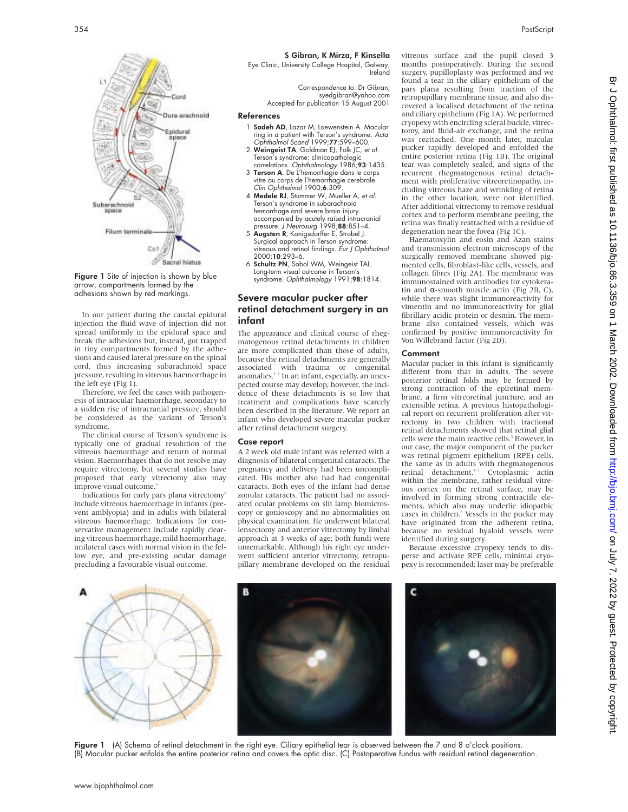

Eye Clinic, University College Hospital, Galway, Ireland

> Correspondence to: Dr Gibran; syedgibran@yahoo.com Accepted for publication 15 August 2001

# References

- 1 Sadeh AD, Lazar M, Loewenstein A. Macular ring in a patient with Terson's syndrome. Acta Ophthalmol Scand 1999;77:599–600.
- 2 Weingeist TA, Goldman EL, Folk IC, et al: Terson's syndrome: clinicopathologic correlations. Ophthalmology 1986;93:1435
- 3 Terson A. De L'hemorrhagie dans le corps vitre au corps de l'hemorrhagie cerebrale. Clin Ophthalmol 1900;6:309. 4 Medele RJ, Stummer W, Mueller A, et al.
- Terson's syndrome in subarachnoid hemorrhage and severe brain injury accompanied by acutely raised intracranial pressure. J Neurosurg 1998;88:851–4.
- 5 Augsten R, Konigsdorffer E, Strobel J. Surgical approach in Terson syndrome: vitreous and retinal findings. Eur J Ophthalmol 2000;10:293–6.
- 6 Schultz PN, Sobol WM, Weingeist TAL. Long-term visual outcome in Terson's<br>syndrome. *Ophthalmology* 1991;**98**:1814.

# Severe macular pucker after retinal detachment surgery in an infant

The appearance and clinical course of rhegmatogenous retinal detachments in children are more complicated than those of adults, because the retinal detachments are generally associated with trauma or congenital anomalies.<sup>12</sup> In an infant, especially, an unexpected course may develop; however, the incidence of these detachments is so low that treatment and complications have scarcely been described in the literature. We report an infant who developed severe macular pucker after retinal detachment surgery.

#### Case report

A 2 week old male infant was referred with a diagnosis of bilateral congenital cataracts. The pregnancy and delivery had been uncomplicated. His mother also had had congenital cataracts. Both eyes of the infant had dense zonular cataracts. The patient had no associated ocular problems on slit lamp biomicroscopy or gonioscopy and no abnormalities on physical examination. He underwent bilateral lensectomy and anterior vitrectomy by limbal approach at 3 weeks of age; both fundi were unremarkable. Although his right eye underwent sufficient anterior vitrectomy, retropupillary membrane developed on the residual

vitreous surface and the pupil closed 3 months postoperatively. During the second surgery, pupilloplasty was performed and we found a tear in the ciliary epithelium of the pars plana resulting from traction of the retropupillary membrane tissue, and also discovered a localised detachment of the retina and ciliary epithelium (Fig 1A). We performed cryopexy with encircling scleral buckle, vitrectomy, and fluid-air exchange, and the retina was reattached. One month later, macular pucker rapidly developed and enfolded the entire posterior retina (Fig 1B). The original tear was completely sealed, and signs of the recurrent rhegmatogenous retinal detachment with proliferative vitreoretinopathy, including vitreous haze and wrinkling of retina in the other location, were not identified. After additional vitrectomy to remove residual cortex and to perform membrane peeling, the retina was finally reattached with a residue of degeneration near the fovea (Fig 1C).

Haematoxylin and eosin and Azan stains and transmission electron microscopy of the surgically removed membrane showed pigmented cells, fibroblast-like cells, vessels, and collagen fibres (Fig 2A). The membrane was immunostained with antibodies for cytokeratin and α-smooth muscle actin (Fig 2B, C), while there was slight immunoreactivity for vimentin and no immunoreactivity for glial fibrillary acidic protein or desmin. The membrane also contained vessels, which was confirmed by positive immunoreactivity for Von Willebrand factor (Fig 2D).

#### Comment

Macular pucker in this infant is significantly different from that in adults. The severe posterior retinal folds may be formed by strong contraction of the epiretinal membrane, a firm vitreoretinal juncture, and an extensible retina. A previous histopathological report on recurrent proliferation after vitrectomy in two children with tractional retinal detachments showed that retinal glial cells were the main reactive cells.<sup>3</sup> However, in our case, the major component of the pucker was retinal pigment epithelium (RPE) cells, the same as in adults with rhegmatogenous<br>retinal detachment.<sup>45</sup> Cytoplasmic actin Cytoplasmic actin within the membrane, rather residual vitreous cortex on the retinal surface, may be involved in forming strong contractile elements, which also may underlie idiopathic cases in children.<sup>6</sup> Vessels in the pucker may have originated from the adherent retina, because no residual hyaloid vessels were identified during surgery.

Because excessive cryopexy tends to disperse and activate RPE cells, minimal cryopexy is recommended; laser may be preferable



Dura-arachnoid Epidural Suba arachnoid<br>space Filum terminals Sacral hiatus

Figure 1 Site of injection is shown by blue arrow, compartments formed by the adhesions shown by red markings.

In our patient during the caudal epidural injection the fluid wave of injection did not spread uniformly in the epidural space and break the adhesions but, instead, got trapped in tiny compartments formed by the adhesions and caused lateral pressure on the spinal cord, thus increasing subarachnoid space pressure, resulting in vitreous haemorrhage in the left eye (Fig 1).

Therefore, we feel the cases with pathogenesis of intraocular haemorrhage, secondary to a sudden rise of intracranial pressure, should be considered as the variant of Terson's syndrome.

The clinical course of Terson's syndrome is typically one of gradual resolution of the vitreous haemorrhage and return of normal vision. Haemorrhages that do not resolve may require vitrectomy, but several studies have proposed that early vitrectomy also may improve visual outcome.<sup>5</sup>

Indications for early pars plana vitrectomy6 include vitreous haemorrhage in infants (prevent amblyopia) and in adults with bilateral vitreous haemorrhage. Indications for conservative management include rapidly clearing vitreous haemorrhage, mild haemorrhage, unilateral cases with normal vision in the fellow eye, and pre-existing ocular damage precluding a favourable visual outcome.

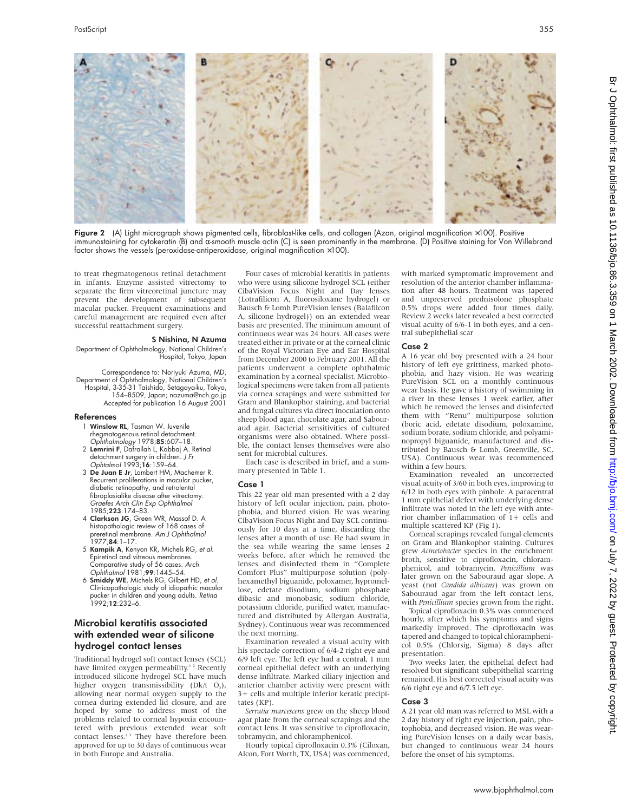

Figure 2 (A) Light micrograph shows pigmented cells, fibroblast-like cells, and collagen (Azan, original magnification  $\times$ 100). Positive immunostaining for cytokeratin (B) and α-smooth muscle actin (C) is seen prominently in the membrane. (D) Positive staining for Von Willebrand factor shows the vessels (peroxidase-antiperoxidase, original magnification  $\times$ 100).

to treat rhegmatogenous retinal detachment in infants. Enzyme assisted vitrectomy to separate the firm vitreoretinal juncture may prevent the development of subsequent macular pucker. Frequent examinations and careful management are required even after successful reattachment surgery.

## S Nishina, N Azuma

Department of Ophthalmology, National Children's Hospital, Tokyo, Japan

Correspondence to: Noriyuki Azuma, MD, Department of Ophthalmology, National Children's Hospital, 3-35-31 Taishido, Setagaya-ku, Tokyo, 154–8509, Japan; nazuma@nch.go.jp Accepted for publication 16 August 2001

## References

- 1 Winslow RL, Tasman W. Juvenile
- rhegmatogenous retinal detachment.<br>Op*hthalmology* 1978;**85**:607–18.<br>2 **Lemrini F**, Dafrallah L, Kabbaj A. Retinal detachment surgery in children. J Fr Ophtalmol 1993;16:159–64.
- 3 De Juan E Jr, Lambert HM, Machemer R. Recurrent proliferations in macular pucker, diabetic retinopathy, and retrolental fibroplasialike disease after vitrectomy. Graefes Arch Clin Exp Ophthalmol 1985;223:174–83.
- 4 Clarkson JG, Green WR, Massof D. A histopathologic review of 168 cases of preretinal membrane. Am J Ophthalmol 1977;**84**:1-17.
- 5 Kampik A, Kenyon KR, Michels RG, et al. Epiretinal and vitreous membranes. Comparative study of 56 cases. Arch Ophthalmol 1981;99:1445–54.
- 6 Smiddy WE, Michels RG, Gilbert HD, et al. Clinicopathologic study of idiopathic macular pucker in children and young adults. Retina 1992;12:232–6.

# Microbial keratitis associated with extended wear of silicone hydrogel contact lenses

Traditional hydrogel soft contact lenses (SCL) have limited oxygen permeability.<sup>12</sup> Recently introduced silicone hydrogel SCL have much higher oxygen transmissibility  $(Dk/t O<sub>2</sub>)$ , allowing near normal oxygen supply to the cornea during extended lid closure, and are hoped by some to address most of the problems related to corneal hypoxia encountered with previous extended wear soft contact lenses.<sup>13</sup> They have therefore been approved for up to 30 days of continuous wear in both Europe and Australia.

Four cases of microbial keratitis in patients who were using silicone hydrogel SCL (either CibaVision Focus Night and Day lenses (Lotrafilicon A, fluorosiloxane hydrogel) or Bausch & Lomb PureVision lenses (Balafilcon A, silicone hydrogel)) on an extended wear basis are presented. The minimum amount of continuous wear was 24 hours. All cases were treated either in private or at the corneal clinic of the Royal Victorian Eye and Ear Hospital from December 2000 to February 2001. All the patients underwent a complete ophthalmic examination by a corneal specialist. Microbiological specimens were taken from all patients via cornea scrapings and were submitted for Gram and Blankophor staining, and bacterial and fungal cultures via direct inoculation onto sheep blood agar, chocolate agar, and Sabouraud agar. Bacterial sensitivities of cultured organisms were also obtained. Where possible, the contact lenses themselves were also sent for microbial cultures.

Each case is described in brief, and a summary presented in Table 1.

#### Case 1

This 22 year old man presented with a 2 day history of left ocular injection, pain, photophobia, and blurred vision. He was wearing CibaVision Focus Night and Day SCL continuously for 10 days at a time, discarding the lenses after a month of use. He had swum in the sea while wearing the same lenses 2 weeks before, after which he removed the lenses and disinfected them in "Complete Comfort Plus" multipurpose solution (polyhexamethyl biguanide, poloxamer, hypromellose, edetate disodium, sodium phosphate dibasic and monobasic, sodium chloride, potassium chloride, purified water, manufactured and distributed by Allergan Australia, Sydney). Continuous wear was recommenced the next morning.

Examination revealed a visual acuity with his spectacle correction of 6/4-2 right eye and 6/9 left eye. The left eye had a central, 1 mm corneal epithelial defect with an underlying dense infiltrate. Marked ciliary injection and anterior chamber activity were present with 3+ cells and multiple inferior keratic precipitates (KP).

*Serratia marcescens* grew on the sheep blood agar plate from the corneal scrapings and the contact lens. It was sensitive to ciprofloxacin, tobramycin, and chloramphenicol.

Hourly topical ciprofloxacin 0.3% (Ciloxan, Alcon, Fort Worth, TX, USA) was commenced, with marked symptomatic improvement and resolution of the anterior chamber inflammation after 48 hours. Treatment was tapered and unpreserved prednisolone phosphate 0.5% drops were added four times daily. Review 2 weeks later revealed a best corrected visual acuity of 6/6-1 in both eyes, and a central subepithelial scar

#### Case 2

A 16 year old boy presented with a 24 hour history of left eye grittiness, marked photophobia, and hazy vision. He was wearing PureVision SCL on a monthly continuous wear basis. He gave a history of swimming in a river in these lenses 1 week earlier, after which he removed the lenses and disinfected them with "Renu" multipurpose solution (boric acid, edetate disodium, poloxamine, sodium borate, sodium chloride, and polyaminopropyl biguanide, manufactured and distributed by Bausch & Lomb, Greenville, SC, USA). Continuous wear was recommenced within a few hours.

Examination revealed an uncorrected visual acuity of 3/60 in both eyes, improving to 6/12 in both eyes with pinhole. A paracentral 1 mm epithelial defect with underlying dense infiltrate was noted in the left eye with anterior chamber inflammation of  $1+$  cells and multiple scattered KP (Fig 1).

Corneal scrapings revealed fungal elements on Gram and Blankophor staining. Cultures grew *Acinetobacter* species in the enrichment broth, sensitive to ciprofloxacin, chloramphenicol, and tobramycin. *Penicillium* was later grown on the Sabouraud agar slope. A yeast (not *Candida albicans*) was grown on Sabouraud agar from the left contact lens, with *Penicillium* species grown from the right.

Topical ciprofloxacin 0.3% was commenced hourly, after which his symptoms and signs markedly improved. The ciprofloxacin was tapered and changed to topical chloramphenicol 0.5% (Chlorsig, Sigma) 8 days after presentation.

Two weeks later, the epithelial defect had resolved but significant subepithelial scarring remained. His best corrected visual acuity was 6/6 right eye and 6/7.5 left eye.

#### Case 3

A 21 year old man was referred to MSL with a 2 day history of right eye injection, pain, photophobia, and decreased vision. He was wearing PureVision lenses on a daily wear basis, but changed to continuous wear 24 hours before the onset of his symptoms.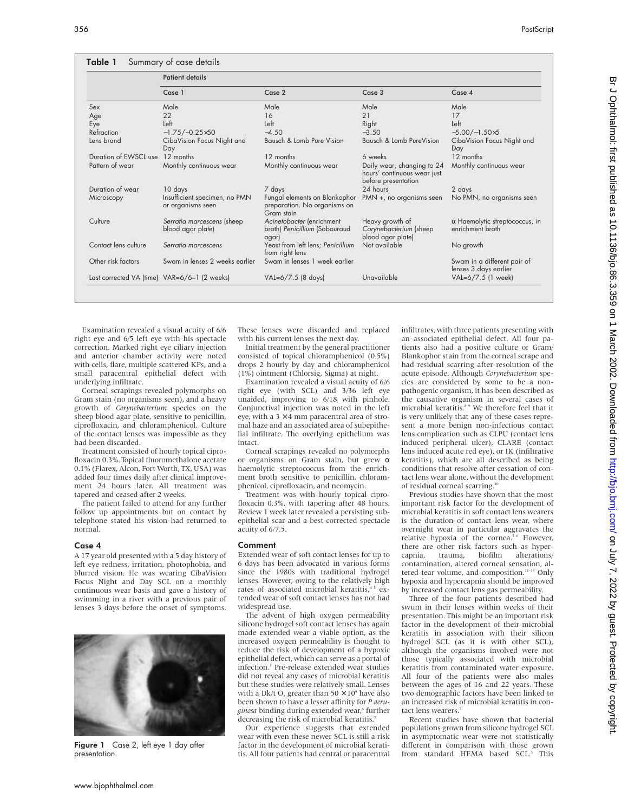| 356 | PostScript<br>. |  |  |
|-----|-----------------|--|--|
|-----|-----------------|--|--|

|                                              | Patient details                                    |                                                                             |                                                                                  |                                                           |  |  |  |
|----------------------------------------------|----------------------------------------------------|-----------------------------------------------------------------------------|----------------------------------------------------------------------------------|-----------------------------------------------------------|--|--|--|
|                                              | Case 1                                             | Case 2                                                                      | Case 3                                                                           | Case 4                                                    |  |  |  |
| Sex                                          | Male                                               | Male                                                                        | Male                                                                             | Male                                                      |  |  |  |
| Age                                          | 22                                                 | 16                                                                          | 21                                                                               | 17                                                        |  |  |  |
| Eye                                          | Left                                               | Left                                                                        | Right                                                                            | Left                                                      |  |  |  |
| Refraction                                   | $-1.75/-0.25 \times 50$                            | $-4.50$                                                                     | $-3.50$                                                                          | $-5.00/-1.50\times5$                                      |  |  |  |
| Lens brand                                   | CibaVision Focus Night and<br>Day                  | Bausch & Lomb Pure Vision                                                   | Bausch & Lomb PureVision                                                         | CibaVision Focus Night and<br>Day                         |  |  |  |
| Duration of EWSCL use                        | 12 months                                          | 12 months                                                                   | 6 weeks                                                                          | 12 months                                                 |  |  |  |
| Pattern of wear                              | Monthly continuous wear                            | Monthly continuous wear                                                     | Daily wear, changing to 24<br>hours' continuous wear just<br>before presentation | Monthly continuous wear                                   |  |  |  |
| Duration of wear                             | 10 days                                            | 7 days                                                                      | 24 hours                                                                         | 2 days                                                    |  |  |  |
| Microscopy                                   | Insufficient specimen, no PMN<br>or organisms seen | Fungal elements on Blankophor<br>preparation. No organisms on<br>Gram stain | PMN +, no organisms seen                                                         | No PMN, no organisms seen                                 |  |  |  |
| Culture                                      | Serratia marcescens (sheep<br>blood agar plate)    | Acinetobacter (enrichment<br>broth) Penicillium (Sabouraud<br>agar)         | Heavy growth of<br>Corynebacterium (sheep<br>blood agar plate)                   | $\alpha$ Haemolytic streptococcus, in<br>enrichment broth |  |  |  |
| Contact lens culture                         | Serratia marcescens                                | Yeast from left lens; Penicillium<br>from right lens                        | Not available                                                                    | No growth                                                 |  |  |  |
| Other risk factors                           | Swam in lenses 2 weeks earlier                     | Swam in lenses 1 week earlier                                               |                                                                                  | Swam in a different pair of<br>lenses 3 days earlier      |  |  |  |
| Last corrected VA (time) VAR=6/6-1 (2 weeks) |                                                    | VAL=6/7.5 (8 days)                                                          | Unavailable                                                                      | VAL=6/7.5 (1 week)                                        |  |  |  |

Examination revealed a visual acuity of 6/6 right eye and 6/5 left eye with his spectacle correction. Marked right eye ciliary injection and anterior chamber activity were noted with cells, flare, multiple scattered KPs, and a small paracentral epithelial defect with underlying infiltrate.

Corneal scrapings revealed polymorphs on Gram stain (no organisms seen), and a heavy growth of *Corynebacterium* species on the sheep blood agar plate, sensitive to penicillin, ciprofloxacin, and chloramphenicol. Culture of the contact lenses was impossible as they had been discarded.

Treatment consisted of hourly topical ciprofloxacin 0.3%. Topical fluoromethalone acetate 0.1% (Flarex, Alcon, Fort Worth, TX, USA) was added four times daily after clinical improvement 24 hours later. All treatment was tapered and ceased after 2 weeks.

The patient failed to attend for any further follow up appointments but on contact by telephone stated his vision had returned to normal.

#### Case 4

A 17 year old presented with a 5 day history of left eye redness, irritation, photophobia, and blurred vision. He was wearing CibaVision Focus Night and Day SCL on a monthly continuous wear basis and gave a history of swimming in a river with a previous pair of lenses 3 days before the onset of symptoms.



Figure 1 Case 2, left eye 1 day after presentation.

These lenses were discarded and replaced with his current lenses the next day.

Initial treatment by the general practitioner consisted of topical chloramphenicol (0.5%) drops 2 hourly by day and chloramphenicol (1%) ointment (Chlorsig, Sigma) at night.

Examination revealed a visual acuity of 6/6 right eye (with SCL) and 3/36 left eye unaided, improving to 6/18 with pinhole. Conjunctival injection was noted in the left eye, with a  $3 \times 4$  mm paracentral area of stromal haze and an associated area of subepithelial infiltrate. The overlying epithelium was intact.

Corneal scrapings revealed no polymorphs or organisms on Gram stain, but grew α haemolytic streptococcus from the enrichment broth sensitive to penicillin, chloramphenicol, ciprofloxacin, and neomycin.

Treatment was with hourly topical ciprofloxacin 0.3%, with tapering after 48 hours. Review 1 week later revealed a persisting subepithelial scar and a best corrected spectacle acuity of 6/7.5.

## **Comment**

Extended wear of soft contact lenses for up to 6 days has been advocated in various forms since the 1980s with traditional hydrogel lenses. However, owing to the relatively high rates of associated microbial keratitis,<sup>45</sup> extended wear of soft contact lenses has not had widespread use.

The advent of high oxygen permeability silicone hydrogel soft contact lenses has again made extended wear a viable option, as the increased oxygen permeability is thought to reduce the risk of development of a hypoxic epithelial defect, which can serve as a portal of infection.3 Pre-release extended wear studies did not reveal any cases of microbial keratitis but these studies were relatively small. Lenses with a Dk/t O, greater than  $50 \times 10^9$  have also been shown to have a lesser affinity for *P aeruginosa* binding during extended wear,6 further decreasing the risk of microbial keratitis.

Our experience suggests that extended wear with even these newer SCL is still a risk factor in the development of microbial keratitis. All four patients had central or paracentral infiltrates, with three patients presenting with an associated epithelial defect. All four patients also had a positive culture or Gram/ Blankophor stain from the corneal scrape and had residual scarring after resolution of the acute episode. Although *Corynebacterium* species are considered by some to be a nonpathogenic organism, it has been described as the causative organism in several cases of microbial keratitis.<sup>8</sup> <sup>9</sup> We therefore feel that it is very unlikely that any of these cases represent a more benign non-infectious contact lens complication such as CLPU (contact lens induced peripheral ulcer), CLARE (contact lens induced acute red eye), or IK (infiltrative keratitis), which are all described as being conditions that resolve after cessation of contact lens wear alone, without the development of residual corneal scarring.<sup>10</sup>

Previous studies have shown that the most important risk factor for the development of microbial keratitis in soft contact lens wearers is the duration of contact lens wear, where overnight wear in particular aggravates the relative hypoxia of the cornea.<sup>5 6</sup> However, there are other risk factors such as hyper-<br>capnia, trauma, biofilm alterations/ capnia, trauma, contamination, altered corneal sensation, altered tear volume, and composition.<sup>11-13</sup> Only hypoxia and hypercapnia should be improved by increased contact lens gas permeability.

Three of the four patients described had swum in their lenses within weeks of their presentation. This might be an important risk factor in the development of their microbial keratitis in association with their silicon hydrogel SCL (as it is with other SCL), although the organisms involved were not those typically associated with microbial keratitis from contaminated water exposure. All four of the patients were also males between the ages of 16 and 22 years. These two demographic factors have been linked to an increased risk of microbial keratitis in contact lens wearers.

Recent studies have shown that bacterial populations grown from silicone hydrogel SCL in asymptomatic wear were not statistically different in comparison with those grown from standard HEMA based SCL.<sup>3</sup> This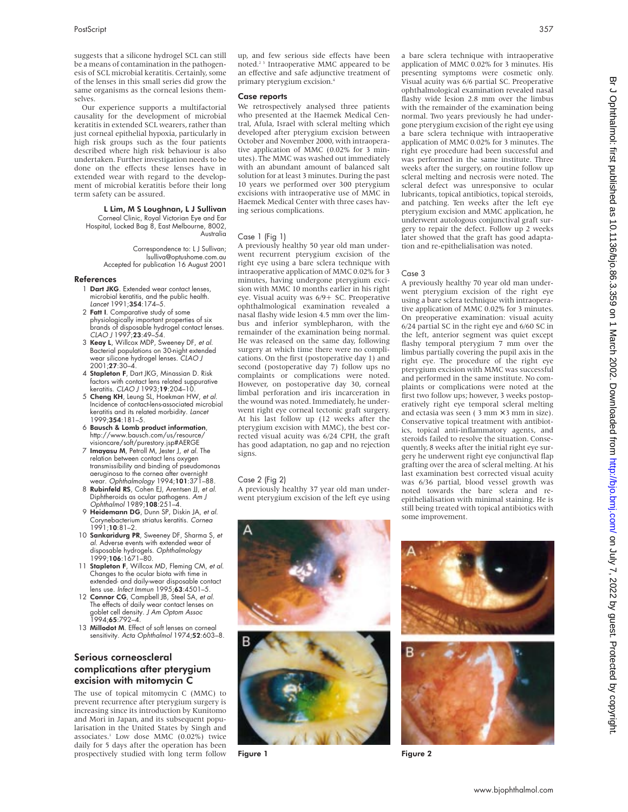suggests that a silicone hydrogel SCL can still be a means of contamination in the pathogenesis of SCL microbial keratitis. Certainly, some of the lenses in this small series did grow the same organisms as the corneal lesions themselves.

Our experience supports a multifactorial causality for the development of microbial keratitis in extended SCL wearers, rather than just corneal epithelial hypoxia, particularly in high risk groups such as the four patients described where high risk behaviour is also undertaken. Further investigation needs to be done on the effects these lenses have in extended wear with regard to the development of microbial keratitis before their long term safety can be assured.

## L Lim, M S Loughnan, L J Sullivan

Corneal Clinic, Royal Victorian Eye and Ear Hospital, Locked Bag 8, East Melbourne, 8002, Australia

> Correspondence to: L J Sullivan; lsulliva@optushome.com.au Accepted for publication 16 August 2001

#### References

- 1 Dart JKG. Extended wear contact lenses, microbial keratitis, and the public health. Lancet 1991;354:174–5.
- 2 Fatt I. Comparative study of some physiologically important properties of six brands of disposable hydrogel contact lenses.  $CLAOJ 1997; 23:49-54.$
- 3 Keay L, Willcox MDP, Sweeney DF, et al. Bacterial populations on 30-night extended wear silicone hydrogel lenses. CLAO J 2001;27:30–4.
- 4 Stapleton F, Dart JKG, Minassian D. Risk factors with contact lens related suppurative keratitis. CLAO J 1993;**19**:204-10
- 5 Cheng KH, Leung SL, Hoekman HW, et al. Incidence of contact-lens-associated microbial keratitis and its related morbidity. Lancet 1999;354:181–5.
- 6 Bausch & Lomb product information, http://www.bausch.com/us/resource/ visioncare/soft/purestory.jsp#AERGE
- 7 Imayasu M, Petroll M, Jester J, et al. The relation between contact lens oxygen transmissibility and binding of pseudomonas aeruginosa to the cornea after overnight wear. Ophthalmology 1994;101:371–88.
- 8 Rubinfeld RS, Cohen EJ, Arentsen JJ, et al. Diphtheroids as ocular pathogens. Am J Ophthalmol 1989;108:251–4.
- 9 Heidemann DG, Dunn SP, Diskin JA, et al. Corynebacterium striatus keratitis. Cornea 1991;10:81–2.
- 10 Sankaridurg PR, Sweeney DF, Sharma S, et al. Adverse events with extended wear of disposable hydrogels. Ophthalmology 1999;106:1671–80.
- 11 Stapleton F, Willcox MD, Fleming CM, et al. Changes to the ocular biota with time in extended- and daily-wear disposable contact lens use. Infect Immun 1995;63:4501-5.
- 12 Connor CG, Campbell JB, Steel SA, et al. The effects of daily wear contact lenses on goblet cell density. *J Am Optom Assoc*<br>1994;**65**:792–4.
- 13 Millodot M. Effect of soft lenses on corneal sensitivity. Acta Ophthalmol 1974;52:603-8.

# Serious corneoscleral complications after pterygium excision with mitomycin C

The use of topical mitomycin C (MMC) to prevent recurrence after pterygium surgery is increasing since its introduction by Kunitomo and Mori in Japan, and its subsequent popularisation in the United States by Singh and associates. $1$  Low dose MMC (0.02%) twice daily for 5 days after the operation has been prospectively studied with long term follow

up, and few serious side effects have been noted.<sup>23</sup> Intraoperative MMC appeared to be an effective and safe adjunctive treatment of primary pterygium excision.4

## Case reports

We retrospectively analysed three patients who presented at the Haemek Medical Central, Afula, Israel with scleral melting which developed after pterygium excision between October and November 2000, with intraoperative application of MMC (0.02% for 3 minutes). The MMC was washed out immediately with an abundant amount of balanced salt solution for at least 3 minutes. During the past 10 years we performed over 300 pterygium excisions with intraoperative use of MMC in Haemek Medical Center with three cases having serious complications.

## Case 1 (Fig 1)

A previously healthy 50 year old man underwent recurrent pterygium excision of the right eye using a bare sclera technique with intraoperative application of MMC 0.02% for 3 minutes, having undergone pterygium excision with MMC 10 months earlier in his right eye. Visual acuity was 6/9+ SC. Preoperative ophthalmological examination revealed a nasal flashy wide lesion 4.5 mm over the limbus and inferior symblepharon, with the remainder of the examination being normal. He was released on the same day, following surgery at which time there were no complications. On the first (postoperative day 1) and second (postoperative day 7) follow ups no complaints or complications were noted. However, on postoperative day 30, corneal limbal perforation and iris incarceration in the wound was noted. Immediately, he underwent right eye corneal tectonic graft surgery. At his last follow up (12 weeks after the pterygium excision with MMC), the best corrected visual acuity was 6/24 CPH, the graft has good adaptation, no gap and no rejection signs.

# Case 2 (Fig 2)

A previously healthy 37 year old man underwent pterygium excision of the left eye using



Figure 1 **Figure 2** 

a bare sclera technique with intraoperative application of MMC 0.02% for 3 minutes. His presenting symptoms were cosmetic only. Visual acuity was 6/6 partial SC. Preoperative ophthalmological examination revealed nasal flashy wide lesion 2.8 mm over the limbus with the remainder of the examination being normal. Two years previously he had undergone pterygium excision of the right eye using a bare sclera technique with intraoperative application of MMC 0.02% for 3 minutes. The right eye procedure had been successful and was performed in the same institute. Three weeks after the surgery, on routine follow up scleral melting and necrosis were noted. The scleral defect was unresponsive to ocular lubricants, topical antibiotics, topical steroids, and patching. Ten weeks after the left eye pterygium excision and MMC application, he underwent autologous conjunctival graft surgery to repair the defect. Follow up 2 weeks later showed that the graft has good adaptation and re-epithelialisation was noted.

## Case 3

A previously healthy 70 year old man underwent pterygium excision of the right eye using a bare sclera technique with intraoperative application of MMC 0.02% for 3 minutes. On preoperative examination: visual acuity 6/24 partial SC in the right eye and 6/60 SC in the left, anterior segment was quiet except flashy temporal pterygium 7 mm over the limbus partially covering the pupil axis in the right eye. The procedure of the right eye pterygium excision with MMC was successful and performed in the same institute. No complaints or complications were noted at the first two follow ups; however, 3 weeks postoperatively right eye temporal scleral melting and ectasia was seen ( $3$  mm  $\times$  3 mm in size). Conservative topical treatment with antibiotics, topical anti-inflammatory agents, and steroids failed to resolve the situation. Consequently, 8 weeks after the initial right eye surgery he underwent right eye conjunctival flap grafting over the area of scleral melting. At his last examination best corrected visual acuity was 6/36 partial, blood vessel growth was noted towards the bare sclera and reepithelialisation with minimal staining. He is still being treated with topical antibiotics with some improvement.

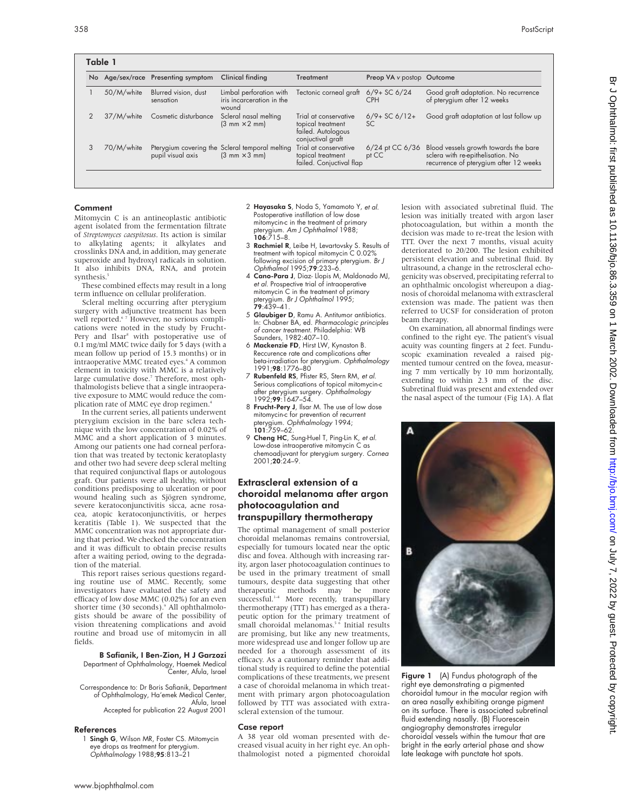|            | No Age/sex/race Presenting symptom | Clinical findina                                                                        | Treatment                                                                             | Preop VA v postop Outcome      |                                                                                                                      |
|------------|------------------------------------|-----------------------------------------------------------------------------------------|---------------------------------------------------------------------------------------|--------------------------------|----------------------------------------------------------------------------------------------------------------------|
| 50/M/white | Blurred vision, dust<br>sensation  | Limbal perforation with<br>iris incarceration in the<br>wound                           | Tectonic corneal graft 6/9+ SC 6/24                                                   | <b>CPH</b>                     | Good graft adaptation. No recurrence<br>of pterygium after 12 weeks                                                  |
| 37/M/white | Cosmetic disturbance               | Scleral nasal melting<br>$(3 \text{ mm} \times 2 \text{ mm})$                           | Trial at conservative<br>topical treatment<br>failed. Autologous<br>conjuctival graft | $6/9 + SC 6/12 +$<br><b>SC</b> | Good graft adaptation at last follow up                                                                              |
| 70/M/white | pupil visual axis                  | Pterygium covering the Scleral temporal melting<br>$(3 \text{ mm} \times 3 \text{ mm})$ | Trial at conservative<br>topical treatment<br>failed. Conjuctival flap                | 6/24 pt CC 6/36<br>pt CC       | Blood vessels growth towards the bare<br>sclera with re-epithelisation. No<br>recurrence of pterygium after 12 weeks |

## Comment

Mitomycin C is an antineoplastic antibiotic agent isolated from the fermentation filtrate of *Streptomyces caespitosus*. Its action is similar to alkylating agents; it alkylates and crosslinks DNA and, in addition, may generate superoxide and hydroxyl radicals in solution. It also inhibits DNA, RNA, and protein synthesis.

These combined effects may result in a long term influence on cellular proliferation.

Scleral melting occurring after pterygium surgery with adjunctive treatment has been well reported.<sup>67</sup> However, no serious complications were noted in the study by Frucht-Pery and Ilsar<sup>8</sup> with postoperative use of 0.1 mg/ml MMC twice daily for 5 days (with a mean follow up period of 15.3 months) or in intraoperative MMC treated eyes.<sup>4</sup> A common element in toxicity with MMC is a relatively large cumulative dose.<sup>7</sup> Therefore, most ophthalmologists believe that a single intraoperative exposure to MMC would reduce the complication rate of MMC eye drop regimen.<sup>4</sup>

In the current series, all patients underwent pterygium excision in the bare sclera technique with the low concentration of 0.02% of MMC and a short application of 3 minutes. Among our patients one had corneal perforation that was treated by tectonic keratoplasty and other two had severe deep scleral melting that required conjunctival flaps or autologous graft. Our patients were all healthy, without conditions predisposing to ulceration or poor wound healing such as Sjögren syndrome, severe keratoconjunctivitis sicca, acne rosacea, atopic keratoconjunctivitis, or herpes keratitis (Table 1). We suspected that the MMC concentration was not appropriate during that period. We checked the concentration and it was difficult to obtain precise results after a waiting period, owing to the degradation of the material.

This report raises serious questions regarding routine use of MMC. Recently, some investigators have evaluated the safety and efficacy of low dose MMC (0.02%) for an even shorter time (30 seconds).<sup>9</sup> All ophthalmologists should be aware of the possibility of vision threatening complications and avoid routine and broad use of mitomycin in all fields.

B Safianik, I Ben-Zion, H J Garzozi Department of Ophthalmology, Haemek Medical Center, Afula, Israel

Correspondence to: Dr Boris Safianik, Department of Ophthalmology, Ha'emek Medical Center, Afula, Israel Accepted for publication 22 August 2001

#### References

1 Singh G, Wilson MR, Foster CS. Mitomycin eye drops as treatment for pterygium. Ophthalmology 1988;95:813–21

- 2 Hayasaka S, Noda S, Yamamoto Y, et al. Postoperative instillation of low dose mitomycin-c in the treatment of primary pterygium. Am J Ophthalmol 1988;  $106:715-8$ .
- 3 Rachmiel R, Leibe H, Levartovsky S. Results of treatment with topical mitomycin C 0.02% following excision of primary pterygium. *Br J*<br>Ophthalmol 1995;**79**:233–6.
- 4 Cano-Para J, Diaz- Llopis M, Maldonado MJ, et al. Prospective trial of intraoperative mitomycin C in the treatment of primary pterygium. Br J Ophthalmol 1995; 79:439–41.
- 5 Glaubiger D, Ramu A. Antitumor antibiotics. In: Chabner BA, ed. Pharmacologic principles of cancer treatment. Philadelphia: WB Saunders, 1982:407–10.
- 6 Mackenzie FD, Hirst LW, Kynaston B. Reccurence rate and complications after beta-irradiation for pterygium. Ophthalmology 1991;98:1776–80
- Rubenfeld RS, Pfister RS, Stern RM, et al. Serious complications of topical mitomycin-c after pterygium surgery. Ophthalmology 1992;99:1647–54.
- 8 Frucht-Pery J, Ilsar M. The use of low dose mitomycin-c for prevention of recurrent pterygium. Ophthalmology 1994; 101:759–62.
- 9 Cheng HC, Sung-Huel T, Ping-Lin K, et al. Low-dose intraoperative mitomycin C as chemoadjuvant for pterygium surgery. Cornea  $2001.20.24 - 9$

# Extrascleral extension of a choroidal melanoma after argon photocoagulation and transpupillary thermotherapy

The optimal management of small posterior choroidal melanomas remains controversial, especially for tumours located near the optic disc and fovea. Although with increasing rarity, argon laser photocoagulation continues to be used in the primary treatment of small tumours, despite data suggesting that other therapeutic methods may be more successful.<sup>1-4</sup> More recently, transpupillary thermotherapy (TTT) has emerged as a therapeutic option for the primary treatment of small choroidal melanomas.<sup>5 6</sup> Initial results are promising, but like any new treatments, more widespread use and longer follow up are needed for a thorough assessment of its efficacy. As a cautionary reminder that additional study is required to define the potential complications of these treatments, we present a case of choroidal melanoma in which treatment with primary argon photocoagulation followed by TTT was associated with extrascleral extension of the tumour.

## Case report

A 38 year old woman presented with decreased visual acuity in her right eye. An ophthalmologist noted a pigmented choroidal

lesion with associated subretinal fluid. The lesion was initially treated with argon laser photocoagulation, but within a month the decision was made to re-treat the lesion with TTT. Over the next 7 months, visual acuity deteriorated to 20/200. The lesion exhibited persistent elevation and subretinal fluid. By ultrasound, a change in the retroscleral echogenicity was observed, precipitating referral to an ophthalmic oncologist whereupon a diagnosis of choroidal melanoma with extrascleral extension was made. The patient was then referred to UCSF for consideration of proton beam therapy.

On examination, all abnormal findings were confined to the right eye. The patient's visual acuity was counting fingers at 2 feet. Funduscopic examination revealed a raised pigmented tumour centred on the fovea, measuring 7 mm vertically by 10 mm horizontally, extending to within 2.3 mm of the disc. Subretinal fluid was present and extended over the nasal aspect of the tumour (Fig 1A). A flat



Figure 1 (A) Fundus photograph of the right eye demonstrating a pigmented choroidal tumour in the macular region with an area nasally exhibiting orange pigment on its surface. There is associated subretinal fluid extending nasally. (B) Fluorescein angiography demonstrates irregular choroidal vessels within the tumour that are bright in the early arterial phase and show late leakage with punctate hot spots.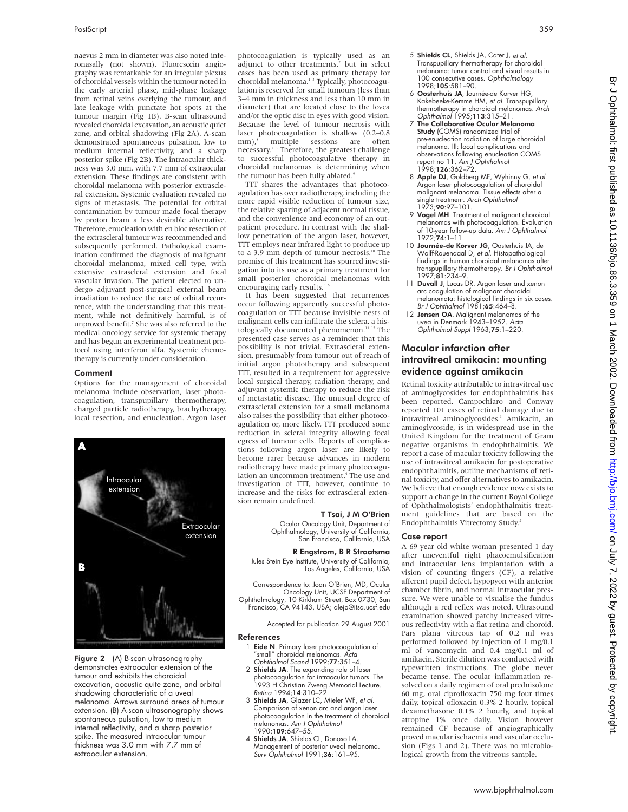naevus 2 mm in diameter was also noted inferonasally (not shown). Fluorescein angiography was remarkable for an irregular plexus of choroidal vessels within the tumour noted in the early arterial phase, mid-phase leakage from retinal veins overlying the tumour, and late leakage with punctate hot spots at the tumour margin (Fig 1B). B-scan ultrasound revealed choroidal excavation, an acoustic quiet zone, and orbital shadowing (Fig 2A). A-scan demonstrated spontaneous pulsation, low to medium internal reflectivity, and a sharp posterior spike (Fig 2B). The intraocular thickness was 3.0 mm, with 7.7 mm of extraocular extension. These findings are consistent with choroidal melanoma with posterior extrascleral extension. Systemic evaluation revealed no signs of metastasis. The potential for orbital contamination by tumour made focal therapy by proton beam a less desirable alternative. Therefore, enucleation with en bloc resection of the extrascleral tumour was recommended and subsequently performed. Pathological examination confirmed the diagnosis of malignant choroidal melanoma, mixed cell type, with extensive extrascleral extension and focal vascular invasion. The patient elected to undergo adjuvant post-surgical external beam irradiation to reduce the rate of orbital recurrence, with the understanding that this treatment, while not definitively harmful, is of unproved benefit.<sup>7</sup> She was also referred to the medical oncology service for systemic therapy and has begun an experimental treatment protocol using interferon alfa. Systemic chemotherapy is currently under consideration.

#### Comment

Options for the management of choroidal melanoma include observation, laser photocoagulation, transpupillary thermotherapy, charged particle radiotherapy, brachytherapy, local resection, and enucleation. Argon laser



Figure 2 (A) B-scan ultrasonography demonstrates extraocular extension of the tumour and exhibits the choroidal excavation, acoustic quite zone, and orbital shadowing characteristic of a uveal melanoma. Arrows surround areas of tumour extension. (B) A-scan ultrasonography shows spontaneous pulsation, low to medium internal reflectivity, and a sharp posterior spike. The measured intraocular tumour thickness was 3.0 mm with 7.7 mm of extraocular extension.

photocoagulation is typically used as an adjunct to other treatments,2 but in select cases has been used as primary therapy for choroidal melanoma.1–3 Typically, photocoagulation is reserved for small tumours (less than 3–4 mm in thickness and less than 10 mm in diameter) that are located close to the fovea and/or the optic disc in eyes with good vision. Because the level of tumour necrosis with laser photocoagulation is shallow (0.2–0.8 mm).<sup>8</sup> multiple sessions are often multiple sessions necessary.<sup>23</sup> Therefore, the greatest challenge to successful photocoagulative therapy in choroidal melanomas is determining when the tumour has been fully ablated.9

TTT shares the advantages that photocoagulation has over radiotherapy, including the more rapid visible reduction of tumour size, the relative sparing of adjacent normal tissue, and the convenience and economy of an outpatient procedure. In contrast with the shallow penetration of the argon laser, however, TTT employs near infrared light to produce up to a 3.9 mm depth of tumour necrosis.<sup>10</sup> The promise of this treatment has spurred investigation into its use as a primary treatment for small posterior choroidal melanomas with encouraging early results.<sup>5</sup>

It has been suggested that recurrences occur following apparently successful photocoagulation or TTT because invisible nests of malignant cells can infiltrate the sclera, a histologically documented phenomenon.<sup>11 12</sup> The presented case serves as a reminder that this possibility is not trivial. Extrascleral extension, presumably from tumour out of reach of initial argon phototherapy and subsequent TTT, resulted in a requirement for aggressive local surgical therapy, radiation therapy, and adjuvant systemic therapy to reduce the risk of metastatic disease. The unusual degree of extrascleral extension for a small melanoma also raises the possibility that either photocoagulation or, more likely, TTT produced some reduction in scleral integrity allowing focal egress of tumour cells. Reports of complications following argon laser are likely to become rarer because advances in modern radiotherapy have made primary photocoagulation an uncommon treatment.<sup>4</sup> The use and investigation of TTT, however, continue to increase and the risks for extrascleral extension remain undefined.

#### T Tsai, J M O'Brien

Ocular Oncology Unit, Department of Ophthalmology, University of California, San Francisco, California, USA

## R Engstrom, B R Straatsma

Jules Stein Eye Institute, University of California, Los Angeles, California, USA

Correspondence to: Joan O'Brien, MD, Ocular Oncology Unit, UCSF Department of Ophthalmology, 10 Kirkham Street, Box 0730, San Francisco, CA 94143, USA; aleja@itsa.ucsf.edu

Accepted for publication 29 August 2001

#### References

- 1 Eide N. Primary laser photocoagulation of "small" choroidal melanomas. Acta Ophthalmol Scand 1999;77:351–4.
- 2 Shields JA. The expanding role of laser photocoagulation for intraocular tumors. The 1993 H Christian Zweng Memorial Lecture. Retina 1994;14:310–22.
- 3 Shields JA, Glazer LC, Mieler WF, et al. Comparison of xenon arc and argon laser photocoagulation in the treatment of choroidal melanomas. Am J Ophthalmol 1990;109:647-55
- 4 Shields JA, Shields CL, Donoso LA. Management of posterior uveal melanoma. Surv Ophthalmol 1991;36:161–95.
- 5 Shields CL, Shields JA, Cater J, et al. Transpupillary thermotherapy for choroidal melanoma: tumor control and visual results in 100 consecutive cases. Ophthalmology 1998;105:581–90.
- 6 Oosterhuis JA, Journée-de Korver HG, Kakebeeke-Kemme HM, et al. Transpupillary thermotherapy in choroidal melanomas. *Arch*<br>Op*hthalmol* 1995;**113**:315–21.
- 7 The Collaborative Ocular Melanoma Study (COMS) randomized trial of pre-enucleation radiation of large choroidal melanoma. III: local complications and observations following enucleation COMS report no 11. Am J Ophthalmol 1998;126:362–72.
- 8 Apple DJ, Goldberg MF, Wyhinny G, et al. Argon laser photocoagulation of choroidal malignant melanoma. Tissue effects after a single treatment. Arch Ophthalmol  $1973.90.97 - 101$
- 9 Vogel MH. Treatment of malignant choroidal melanomas with photocoagulation. Evaluation of 10-year follow-up data. Am J Ophthalmol 1972;74:1–11.
- 10 Journée-de Korver JG, Oosterhuis JA, de Wolff-Rouendaal D, et al. Histopathological findings in human choroidal melanomas after transpupillary thermotherapy. Br J Ophthalmol 1997;81:234–9.
- 11 **Duvall J**, Lucas DR. Argon laser and xenon arc coagulation of malignant choroidal melanomata: histological findings in six cases. Br J Ophthalmol 1981;65:464–8.
- 12 Jensen OA. Malignant melanomas of the uvea in Denmark 1943–1952. Acta Ophthalmol Suppl 1963;75:1–220.

# Macular infarction after intravitreal amikacin: mounting evidence against amikacin

Retinal toxicity attributable to intravitreal use of aminoglycosides for endophthalmitis has been reported. Campochiaro and Conway reported 101 cases of retinal damage due to intravitreal aminoglycosides.<sup>1</sup> Amikacin, an aminoglycoside, is in widespread use in the United Kingdom for the treatment of Gram negative organisms in endophthalmitis. We report a case of macular toxicity following the use of intravitreal amikacin for postoperative endophthalmitis, outline mechanisms of retinal toxicity, and offer alternatives to amikacin. We believe that enough evidence now exists to support a change in the current Royal College of Ophthalmologists' endophthalmitis treatment guidelines that are based on the Endophthalmitis Vitrectomy Study.2

## Case report

A 69 year old white woman presented 1 day after uneventful right phacoemulsification and intraocular lens implantation with a vision of counting fingers (CF), a relative afferent pupil defect, hypopyon with anterior chamber fibrin, and normal intraocular pressure. We were unable to visualise the fundus although a red reflex was noted. Ultrasound examination showed patchy increased vitreous reflectivity with a flat retina and choroid. Pars plana vitreous tap of 0.2 ml was performed followed by injection of 1 mg/0.1 ml of vancomycin and 0.4 mg/0.1 ml of amikacin. Sterile dilution was conducted with typewritten instructions. The globe never became tense. The ocular inflammation resolved on a daily regimen of oral prednisolone 60 mg, oral ciprofloxacin 750 mg four times daily, topical ofloxacin 0.3% 2 hourly, topical dexamethasone 0.1% 2 hourly, and topical atropine 1% once daily. Vision however remained CF because of angiographically proved macular ischaemia and vascular occlusion (Figs 1 and 2). There was no microbiological growth from the vitreous sample.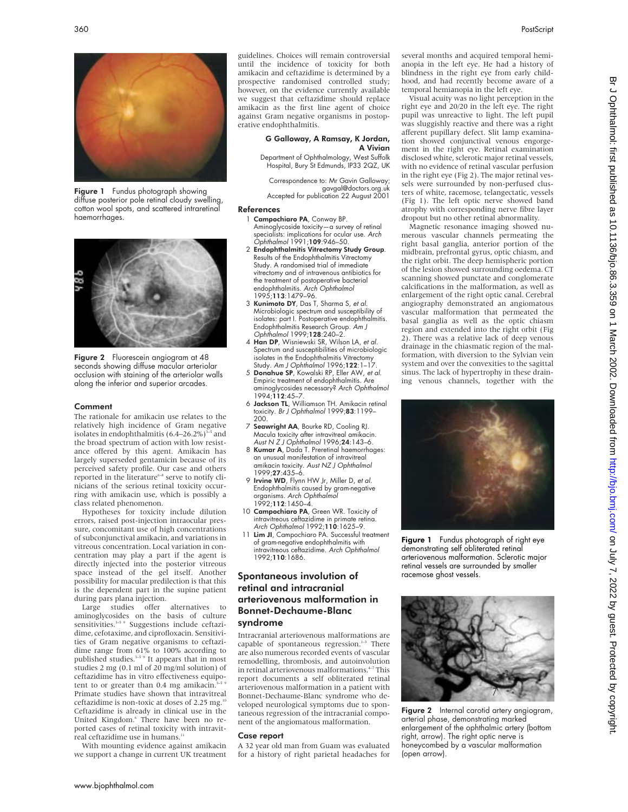

Figure 1 Fundus photograph showing diffuse posterior pole retinal cloudy swelling, cotton wool spots, and scattered intraretinal haemorrhages.



Figure 2 Fluorescein angiogram at 48 seconds showing diffuse macular arteriolar occlusion with staining of the arteriolar walls along the inferior and superior arcades.

#### Comment

The rationale for amikacin use relates to the relatively high incidence of Gram negative isolates in endophthalmitis  $(6.4–26.2%)$ <sup>3-5</sup> and the broad spectrum of action with low resistance offered by this agent. Amikacin has largely superseded gentamicin because of its perceived safety profile. Our case and others reported in the literature $6-8$  serve to notify clinicians of the serious retinal toxicity occurring with amikacin use, which is possibly a class related phenomenon.

Hypotheses for toxicity include dilution errors, raised post-injection intraocular pressure, concomitant use of high concentrations of subconjunctival amikacin, and variations in vitreous concentration. Local variation in concentration may play a part if the agent is directly injected into the posterior vitreous space instead of the gel itself. Another possibility for macular predilection is that this is the dependent part in the supine patient during pars plana injection.

Large studies offer alternatives to aminoglycosides on the basis of culture sensitivities.<sup>3–5</sup> 9 Suggestions include ceftazidime, cefotaxime, and ciprofloxacin. Sensitivities of Gram negative organisms to ceftazidime range from 61% to 100% according to published studies. $3-5$ <sup>9</sup> It appears that in most studies 2 mg (0.1 ml of 20 mg/ml solution) of ceftazidime has in vitro effectiveness equipotent to or greater than  $0.4$  mg amikacin.<sup>3</sup> Primate studies have shown that intravitreal ceftazidime is non-toxic at doses of 2.25 mg.<sup>10</sup> Ceftazidime is already in clinical use in the United Kingdom.<sup>6</sup> There have been no reported cases of retinal toxicity with intravitreal ceftazidime use in humans.<sup>1</sup>

With mounting evidence against amikacin we support a change in current UK treatment guidelines. Choices will remain controversial until the incidence of toxicity for both amikacin and ceftazidime is determined by a prospective randomised controlled study; however, on the evidence currently available we suggest that ceftazidime should replace amikacin as the first line agent of choice against Gram negative organisms in postoperative endophthalmitis.

## G Galloway, A Ramsay, K Jordan, A Vivian

Department of Ophthalmology, West Suffolk Hospital, Bury St Edmunds, IP33 2QZ, UK

Correspondence to: Mr Gavin Galloway; gavgal@doctors.org.uk Accepted for publication 22 August 2001

#### References

- 1 Campochiaro PA, Conway BP. Aminoglycoside toxicity—a survey of retinal specialists: implications for ocular use. Arch Ophthalmol 1991;109:946–50.
- 2 Endophthalmitis Vitrectomy Study Group. Results of the Endophthalmitis Vitrectomy Study. A randomised trial of immediate vitrectomy and of intravenous antibiotics for the treatment of postoperative bacterial endophthalmitis. Arch Ophthalmol 1995;113:1479–96.
- 3 Kunimoto DY, Das T, Sharma S, et al. Microbiologic spectrum and susceptibility of isolates: part I. Postoperative endophthalmitis. Endophthalmitis Research Group. Am J Ophthalmol 1999;128:240–2.
- 4 Han DP, Wisniewski SR, Wilson LA, et al. Spectrum and susceptibilities of microbiologic isolates in the Endophthalmitis Vitrectomy Study. Am J Ophthalmol 1996;122:1-17
- 5 Donahue SP, Kowalski RP, Eller AW, et al. Empiric treatment of endophthalmitis. Are aminoglycosides necessary? Arch Ophthalmol 1994;112:45–7.
- 6 Jackson TL, Williamson TH. Amikacin retinal toxicity. Br J Ophthalmol 1999;83:1199-200.
- 7 Seawright AA, Bourke RD, Cooling RJ. Macula toxicity after intravitreal amikacin. Aust N <sup>Z</sup> J Ophthalmol 1996;24:143–6.
- 8 Kumar A, Dada T. Preretinal haemorrhages: an unusual manifestation of intravitreal amikacin toxicity. Aust NZ J Ophthalmol 1999;27:435–6.
- 9 Irvine WD, Flynn HW Jr, Miller D, et al. Endophthalmitis caused by gram-negative organisms. Arch Ophthalmol 1992;112:1450–4.
- 10 Campochiaro PA, Green WR. Toxicity of intravitreous ceftazidime in primate retina. Arch Ophthalmol 1992;110:1625–9.
- 11 Lim JL Campochiaro PA. Successful treatment of gram-negative endophthalmitis with intravitreous ceftazidime. Arch Ophthalmol 1992;110:1686.

# Spontaneous involution of retinal and intracranial arteriovenous malformation in Bonnet-Dechaume-Blanc syndrome

Intracranial arteriovenous malformations are capable of spontaneous regression.<sup>1-3</sup> There are also numerous recorded events of vascular remodelling, thrombosis, and autoinvolution in retinal arteriovenous malformations.<sup>4-7</sup> This report documents a self obliterated retinal arteriovenous malformation in a patient with Bonnet-Dechaume-Blanc syndrome who developed neurological symptoms due to spontaneous regression of the intracranial component of the angiomatous malformation.

## Case report

A 32 year old man from Guam was evaluated for a history of right parietal headaches for

several months and acquired temporal hemianopia in the left eye. He had a history of blindness in the right eye from early childhood, and had recently become aware of a temporal hemianopia in the left eye.

Visual acuity was no light perception in the right eye and 20/20 in the left eye. The right pupil was unreactive to light. The left pupil was sluggishly reactive and there was a right afferent pupillary defect. Slit lamp examination showed conjunctival venous engorgement in the right eye. Retinal examination disclosed white, sclerotic major retinal vessels, with no evidence of retinal vascular perfusion in the right eye (Fig 2). The major retinal vessels were surrounded by non-perfused clusters of white, racemose, telangectatic, vessels (Fig 1). The left optic nerve showed band atrophy with corresponding nerve fibre layer dropout but no other retinal abnormality.

Magnetic resonance imaging showed numerous vascular channels permeating the right basal ganglia, anterior portion of the midbrain, prefrontal gyrus, optic chiasm, and the right orbit. The deep hemispheric portion of the lesion showed surrounding oedema. CT scanning showed punctate and conglomerate calcifications in the malformation, as well as enlargement of the right optic canal. Cerebral angiography demonstrated an angiomatous vascular malformation that permeated the basal ganglia as well as the optic chiasm region and extended into the right orbit (Fig 2). There was a relative lack of deep venous drainage in the chiasmatic region of the malformation, with diversion to the Sylvian vein system and over the convexities to the sagittal sinus. The lack of hypertrophy in these draining venous channels, together with the



Figure 1 Fundus photograph of right eye demonstrating self obliterated retinal arteriovenous malformation. Sclerotic major retinal vessels are surrounded by smaller racemose ghost vessels.



Figure 2 Internal carotid artery angiogram, arterial phase, demonstrating marked enlargement of the ophthalmic artery (bottom right, arrow). The right optic nerve is honeycombed by a vascular malformation (open arrow).